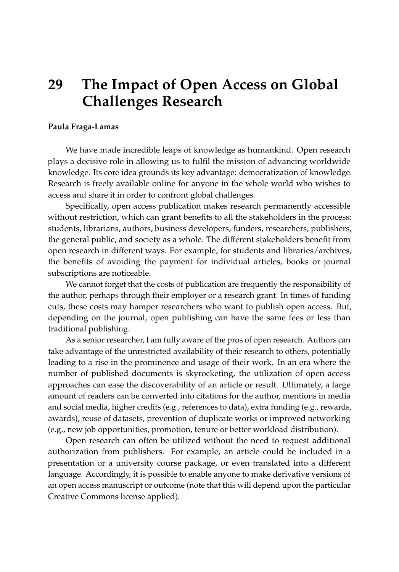## **29 The Impact of Open Access on Global Challenges Research**

## **Paula Fraga-Lamas**

We have made incredible leaps of knowledge as humankind. Open research plays a decisive role in allowing us to fulfil the mission of advancing worldwide knowledge. Its core idea grounds its key advantage: democratization of knowledge. Research is freely available online for anyone in the whole world who wishes to access and share it in order to confront global challenges.

Specifically, open access publication makes research permanently accessible without restriction, which can grant benefits to all the stakeholders in the process: students, librarians, authors, business developers, funders, researchers, publishers, the general public, and society as a whole. The different stakeholders benefit from open research in different ways. For example, for students and libraries/archives, the benefits of avoiding the payment for individual articles, books or journal subscriptions are noticeable.

We cannot forget that the costs of publication are frequently the responsibility of the author, perhaps through their employer or a research grant. In times of funding cuts, these costs may hamper researchers who want to publish open access. But, depending on the journal, open publishing can have the same fees or less than traditional publishing.

As a senior researcher, I am fully aware of the pros of open research. Authors can take advantage of the unrestricted availability of their research to others, potentially leading to a rise in the prominence and usage of their work. In an era where the number of published documents is skyrocketing, the utilization of open access approaches can ease the discoverability of an article or result. Ultimately, a large amount of readers can be converted into citations for the author, mentions in media and social media, higher credits (e.g., references to data), extra funding (e.g., rewards, awards), reuse of datasets, prevention of duplicate works or improved networking (e.g., new job opportunities, promotion, tenure or better workload distribution).

Open research can often be utilized without the need to request additional authorization from publishers. For example, an article could be included in a presentation or a university course package, or even translated into a different language. Accordingly, it is possible to enable anyone to make derivative versions of an open access manuscript or outcome (note that this will depend upon the particular Creative Commons license applied).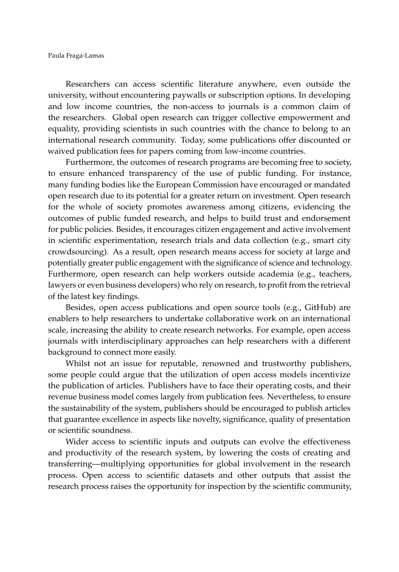Researchers can access scientific literature anywhere, even outside the university, without encountering paywalls or subscription options. In developing and low income countries, the non-access to journals is a common claim of the researchers. Global open research can trigger collective empowerment and equality, providing scientists in such countries with the chance to belong to an international research community. Today, some publications offer discounted or waived publication fees for papers coming from low-income countries.

Furthermore, the outcomes of research programs are becoming free to society, to ensure enhanced transparency of the use of public funding. For instance, many funding bodies like the European Commission have encouraged or mandated open research due to its potential for a greater return on investment. Open research for the whole of society promotes awareness among citizens, evidencing the outcomes of public funded research, and helps to build trust and endorsement for public policies. Besides, it encourages citizen engagement and active involvement in scientific experimentation, research trials and data collection (e.g., smart city crowdsourcing). As a result, open research means access for society at large and potentially greater public engagement with the significance of science and technology. Furthermore, open research can help workers outside academia (e.g., teachers, lawyers or even business developers) who rely on research, to profit from the retrieval of the latest key findings.

Besides, open access publications and open source tools (e.g., GitHub) are enablers to help researchers to undertake collaborative work on an international scale, increasing the ability to create research networks. For example, open access journals with interdisciplinary approaches can help researchers with a different background to connect more easily.

Whilst not an issue for reputable, renowned and trustworthy publishers, some people could argue that the utilization of open access models incentivize the publication of articles. Publishers have to face their operating costs, and their revenue business model comes largely from publication fees. Nevertheless, to ensure the sustainability of the system, publishers should be encouraged to publish articles that guarantee excellence in aspects like novelty, significance, quality of presentation or scientific soundness.

Wider access to scientific inputs and outputs can evolve the effectiveness and productivity of the research system, by lowering the costs of creating and transferring—multiplying opportunities for global involvement in the research process. Open access to scientific datasets and other outputs that assist the research process raises the opportunity for inspection by the scientific community,